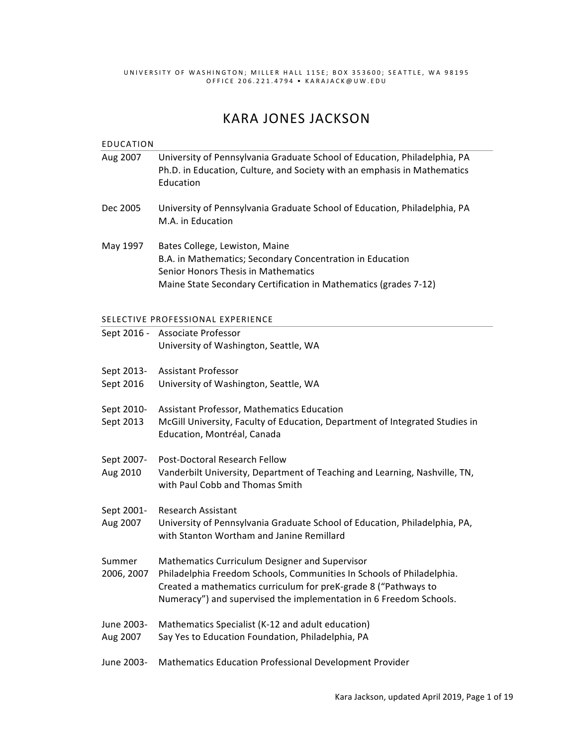UNIVERSITY OF WASHIN GTON; MILLER HALL 11 5E; BOX 353600; SEAT TLE, WA 98195 OFFICE 206.221.4794 • KARA JACK@UW.EDU

# **KARA JONES JACKSON**

| <b>EDUCATION</b>                  |                                                                                                                                                                                                                                                                  |  |
|-----------------------------------|------------------------------------------------------------------------------------------------------------------------------------------------------------------------------------------------------------------------------------------------------------------|--|
| Aug 2007                          | University of Pennsylvania Graduate School of Education, Philadelphia, PA<br>Ph.D. in Education, Culture, and Society with an emphasis in Mathematics<br>Education                                                                                               |  |
| Dec 2005                          | University of Pennsylvania Graduate School of Education, Philadelphia, PA<br>M.A. in Education                                                                                                                                                                   |  |
| May 1997                          | Bates College, Lewiston, Maine<br>B.A. in Mathematics; Secondary Concentration in Education<br>Senior Honors Thesis in Mathematics<br>Maine State Secondary Certification in Mathematics (grades 7-12)                                                           |  |
| SELECTIVE PROFESSIONAL EXPERIENCE |                                                                                                                                                                                                                                                                  |  |
|                                   | Sept 2016 - Associate Professor<br>University of Washington, Seattle, WA                                                                                                                                                                                         |  |
| Sept 2013-                        | <b>Assistant Professor</b>                                                                                                                                                                                                                                       |  |
| Sept 2016                         | University of Washington, Seattle, WA                                                                                                                                                                                                                            |  |
| Sept 2010-<br>Sept 2013           | Assistant Professor, Mathematics Education<br>McGill University, Faculty of Education, Department of Integrated Studies in<br>Education, Montréal, Canada                                                                                                        |  |
| Sept 2007-<br>Aug 2010            | Post-Doctoral Research Fellow<br>Vanderbilt University, Department of Teaching and Learning, Nashville, TN,<br>with Paul Cobb and Thomas Smith                                                                                                                   |  |
| Sept 2001-<br>Aug 2007            | <b>Research Assistant</b><br>University of Pennsylvania Graduate School of Education, Philadelphia, PA,<br>with Stanton Wortham and Janine Remillard                                                                                                             |  |
| Summer<br>2006, 2007              | Mathematics Curriculum Designer and Supervisor<br>Philadelphia Freedom Schools, Communities In Schools of Philadelphia.<br>Created a mathematics curriculum for preK-grade 8 ("Pathways to<br>Numeracy") and supervised the implementation in 6 Freedom Schools. |  |
| June 2003-<br>Aug 2007            | Mathematics Specialist (K-12 and adult education)<br>Say Yes to Education Foundation, Philadelphia, PA                                                                                                                                                           |  |
| June 2003-                        | Mathematics Education Professional Development Provider                                                                                                                                                                                                          |  |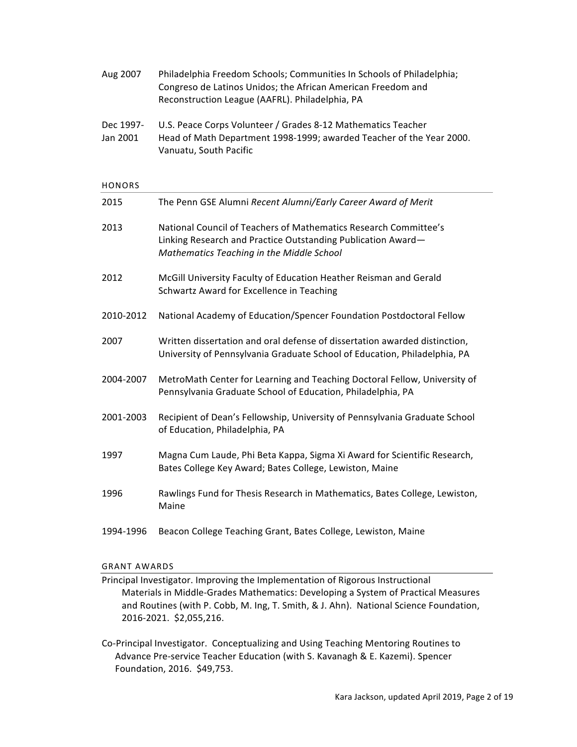| Aug 2007              | Philadelphia Freedom Schools; Communities In Schools of Philadelphia;<br>Congreso de Latinos Unidos; the African American Freedom and<br>Reconstruction League (AAFRL). Philadelphia, PA |
|-----------------------|------------------------------------------------------------------------------------------------------------------------------------------------------------------------------------------|
| Dec 1997-<br>Jan 2001 | U.S. Peace Corps Volunteer / Grades 8-12 Mathematics Teacher<br>Head of Math Department 1998-1999; awarded Teacher of the Year 2000.<br>Vanuatu, South Pacific                           |
| HONORS                |                                                                                                                                                                                          |
| 2015                  | The Penn GSE Alumni Recent Alumni/Early Career Award of Merit                                                                                                                            |
| 2013                  | National Council of Teachers of Mathematics Research Committee's<br>Linking Research and Practice Outstanding Publication Award-<br>Mathematics Teaching in the Middle School            |
| 2012                  | McGill University Faculty of Education Heather Reisman and Gerald<br>Schwartz Award for Excellence in Teaching                                                                           |
| 2010-2012             | National Academy of Education/Spencer Foundation Postdoctoral Fellow                                                                                                                     |
| 2007                  | Written dissertation and oral defense of dissertation awarded distinction,<br>University of Pennsylvania Graduate School of Education, Philadelphia, PA                                  |
| 2004-2007             | MetroMath Center for Learning and Teaching Doctoral Fellow, University of<br>Pennsylvania Graduate School of Education, Philadelphia, PA                                                 |
| 2001-2003             | Recipient of Dean's Fellowship, University of Pennsylvania Graduate School<br>of Education, Philadelphia, PA                                                                             |
| 1997                  | Magna Cum Laude, Phi Beta Kappa, Sigma Xi Award for Scientific Research,<br>Bates College Key Award; Bates College, Lewiston, Maine                                                      |
| 1996                  | Rawlings Fund for Thesis Research in Mathematics, Bates College, Lewiston,<br>Maine                                                                                                      |
| 1994-1996             | Beacon College Teaching Grant, Bates College, Lewiston, Maine                                                                                                                            |

#### **GRANT AWARDS**

Principal Investigator. Improving the Implementation of Rigorous Instructional Materials in Middle-Grades Mathematics: Developing a System of Practical Measures and Routines (with P. Cobb, M. Ing, T. Smith, & J. Ahn). National Science Foundation, 2016-2021. \$2,055,216.

Co-Principal Investigator. Conceptualizing and Using Teaching Mentoring Routines to Advance Pre-service Teacher Education (with S. Kavanagh & E. Kazemi). Spencer Foundation, 2016. \$49,753.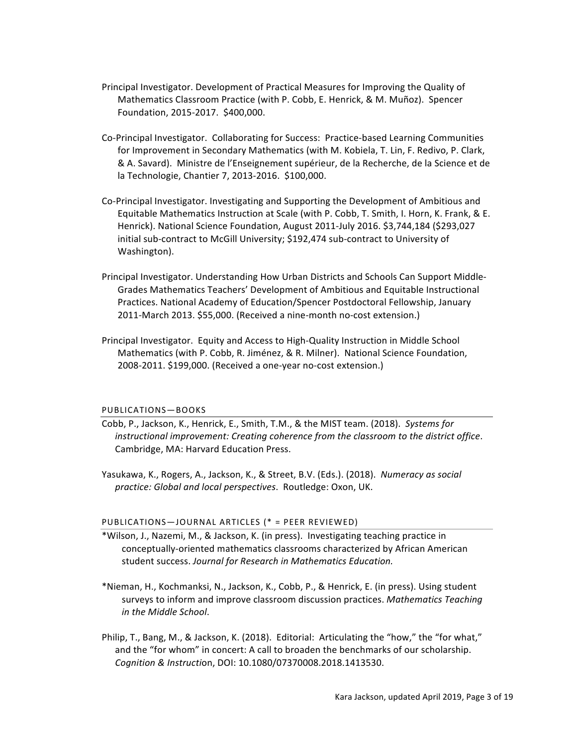- Principal Investigator. Development of Practical Measures for Improving the Quality of Mathematics Classroom Practice (with P. Cobb, E. Henrick, & M. Muñoz). Spencer Foundation, 2015-2017. \$400,000.
- Co-Principal Investigator. Collaborating for Success: Practice-based Learning Communities for Improvement in Secondary Mathematics (with M. Kobiela, T. Lin, F. Redivo, P. Clark, & A. Savard). Ministre de l'Enseignement supérieur, de la Recherche, de la Science et de la Technologie, Chantier 7, 2013-2016. \$100,000.
- Co-Principal Investigator. Investigating and Supporting the Development of Ambitious and Equitable Mathematics Instruction at Scale (with P. Cobb, T. Smith, I. Horn, K. Frank, & E. Henrick). National Science Foundation, August 2011-July 2016. \$3,744,184 (\$293,027 initial sub-contract to McGill University; \$192,474 sub-contract to University of Washington).
- Principal Investigator. Understanding How Urban Districts and Schools Can Support Middle-Grades Mathematics Teachers' Development of Ambitious and Equitable Instructional Practices. National Academy of Education/Spencer Postdoctoral Fellowship, January 2011-March 2013. \$55,000. (Received a nine-month no-cost extension.)
- Principal Investigator. Equity and Access to High-Quality Instruction in Middle School Mathematics (with P. Cobb, R. Jiménez, & R. Milner). National Science Foundation, 2008-2011. \$199,000. (Received a one-year no-cost extension.)

## PUBLICATIONS—BOOKS

- Cobb, P., Jackson, K., Henrick, E., Smith, T.M., & the MIST team. (2018). Systems for *instructional improvement: Creating coherence from the classroom to the district office.* Cambridge, MA: Harvard Education Press.
- Yasukawa, K., Rogers, A., Jackson, K., & Street, B.V. (Eds.). (2018). Numeracy as social *practice: Global and local perspectives*. Routledge: Oxon, UK.

# PUBLICATIONS-JOURNAL ARTICLES (\* = PEER REVIEWED)

- \*Wilson, J., Nazemi, M., & Jackson, K. (in press). Investigating teaching practice in conceptually-oriented mathematics classrooms characterized by African American student success. Journal for Research in Mathematics Education.
- \*Nieman, H., Kochmanksi, N., Jackson, K., Cobb, P., & Henrick, E. (in press). Using student surveys to inform and improve classroom discussion practices. *Mathematics Teaching in the Middle School*.
- Philip, T., Bang, M., & Jackson, K. (2018). Editorial: Articulating the "how," the "for what," and the "for whom" in concert: A call to broaden the benchmarks of our scholarship. *Cognition & Instructi*on, DOI: 10.1080/07370008.2018.1413530.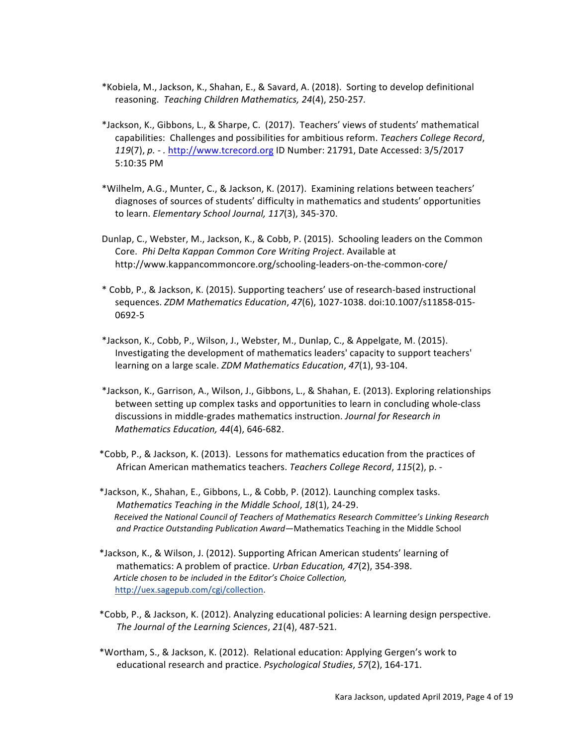- \*Kobiela, M., Jackson, K., Shahan, E., & Savard, A. (2018). Sorting to develop definitional reasoning. Teaching Children Mathematics, 24(4), 250-257.
- \*Jackson, K., Gibbons, L., & Sharpe, C. (2017). Teachers' views of students' mathematical capabilities: Challenges and possibilities for ambitious reform. Teachers College Record, *119*(7), *p. - .* http://www.tcrecord.org ID Number: 21791, Date Accessed: 3/5/2017 5:10:35 PM
- \*Wilhelm, A.G., Munter, C., & Jackson, K. (2017). Examining relations between teachers' diagnoses of sources of students' difficulty in mathematics and students' opportunities to learn. *Elementary School Journal, 117*(3), 345-370.
- Dunlap, C., Webster, M., Jackson, K., & Cobb, P. (2015). Schooling leaders on the Common Core. *Phi Delta Kappan Common Core Writing Project*. Available at http://www.kappancommoncore.org/schooling-leaders-on-the-common-core/
- \* Cobb, P., & Jackson, K. (2015). Supporting teachers' use of research-based instructional sequences. *ZDM Mathematics Education*, *47*(6), 1027-1038. doi:10.1007/s11858-015- 0692-5
- \*Jackson, K., Cobb, P., Wilson, J., Webster, M., Dunlap, C., & Appelgate, M. (2015). Investigating the development of mathematics leaders' capacity to support teachers' learning on a large scale. *ZDM Mathematics Education*, 47(1), 93-104.
- \*Jackson, K., Garrison, A., Wilson, J., Gibbons, L., & Shahan, E. (2013). Exploring relationships between setting up complex tasks and opportunities to learn in concluding whole-class discussions in middle-grades mathematics instruction. *Journal for Research in Mathematics Education, 44(4), 646-682.*
- \*Cobb, P., & Jackson, K. (2013). Lessons for mathematics education from the practices of African American mathematics teachers. *Teachers College Record*, 115(2), p. -
- \*Jackson, K., Shahan, E., Gibbons, L., & Cobb, P. (2012). Launching complex tasks. *Mathematics Teaching in the Middle School, 18*(1), 24-29. Received the National Council of Teachers of Mathematics Research Committee's Linking Research and Practice Outstanding Publication Award—Mathematics Teaching in the Middle School
- \*Jackson, K., & Wilson, J. (2012). Supporting African American students' learning of mathematics: A problem of practice. *Urban Education, 47*(2), 354-398. Article chosen to be included in the Editor's Choice Collection, http://uex.sagepub.com/cgi/collection.
- \*Cobb, P., & Jackson, K. (2012). Analyzing educational policies: A learning design perspective. *The Journal of the Learning Sciences*, *21*(4), 487-521.
- \*Wortham, S., & Jackson, K. (2012). Relational education: Applying Gergen's work to educational research and practice. *Psychological Studies*, 57(2), 164-171.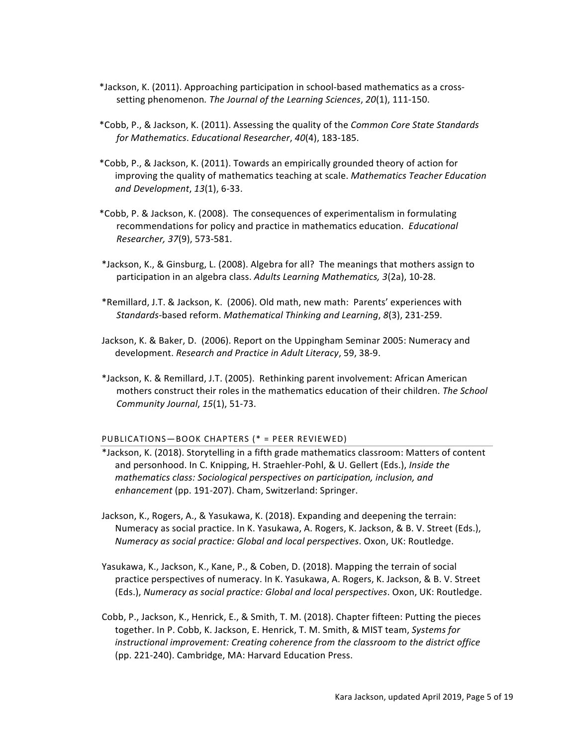- \*Jackson, K. (2011). Approaching participation in school-based mathematics as a crosssetting phenomenon. The Journal of the Learning Sciences, 20(1), 111-150.
- \*Cobb, P., & Jackson, K. (2011). Assessing the quality of the *Common Core State Standards for Mathematics*. *Educational Researcher*, *40*(4), 183-185.
- \*Cobb, P., & Jackson, K. (2011). Towards an empirically grounded theory of action for improving the quality of mathematics teaching at scale. Mathematics Teacher Education *and Development*, *13*(1), 6-33.
- \*Cobb, P. & Jackson, K. (2008). The consequences of experimentalism in formulating recommendations for policy and practice in mathematics education. *Educational Researcher, 37*(9), 573-581.
- \*Jackson, K., & Ginsburg, L. (2008). Algebra for all? The meanings that mothers assign to participation in an algebra class. Adults Learning Mathematics, 3(2a), 10-28.
- \*Remillard, J.T. & Jackson, K. (2006). Old math, new math: Parents' experiences with *Standards-*based reform. *Mathematical Thinking and Learning*, *8*(3), 231-259.
- Jackson, K. & Baker, D. (2006). Report on the Uppingham Seminar 2005: Numeracy and development. *Research and Practice in Adult Literacy*, 59, 38-9.
- \*Jackson, K. & Remillard, J.T. (2005). Rethinking parent involvement: African American mothers construct their roles in the mathematics education of their children. *The School Community Journal*, *15*(1), 51-73.

## PUBLICATIONS-BOOK CHAPTERS (\* = PEER REVIEWED)

- \*Jackson, K. (2018). Storytelling in a fifth grade mathematics classroom: Matters of content and personhood. In C. Knipping, H. Straehler-Pohl, & U. Gellert (Eds.), *Inside the mathematics class: Sociological perspectives on participation, inclusion, and enhancement* (pp. 191-207). Cham, Switzerland: Springer.
- Jackson, K., Rogers, A., & Yasukawa, K. (2018). Expanding and deepening the terrain: Numeracy as social practice. In K. Yasukawa, A. Rogers, K. Jackson, & B. V. Street (Eds.), *Numeracy as social practice: Global and local perspectives*. Oxon, UK: Routledge.
- Yasukawa, K., Jackson, K., Kane, P., & Coben, D. (2018). Mapping the terrain of social practice perspectives of numeracy. In K. Yasukawa, A. Rogers, K. Jackson, & B. V. Street (Eds.), *Numeracy as social practice: Global and local perspectives*. Oxon, UK: Routledge.
- Cobb, P., Jackson, K., Henrick, E., & Smith, T. M. (2018). Chapter fifteen: Putting the pieces together. In P. Cobb, K. Jackson, E. Henrick, T. M. Smith, & MIST team, *Systems for instructional improvement: Creating coherence from the classroom to the district office* (pp. 221-240). Cambridge, MA: Harvard Education Press.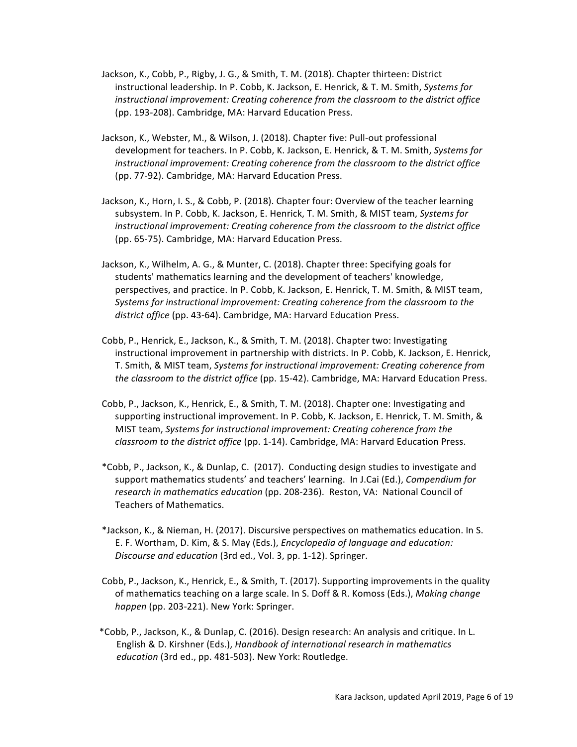- Jackson, K., Cobb, P., Rigby, J. G., & Smith, T. M. (2018). Chapter thirteen: District instructional leadership. In P. Cobb, K. Jackson, E. Henrick, & T. M. Smith, Systems for *instructional improvement: Creating coherence from the classroom to the district office* (pp. 193-208). Cambridge, MA: Harvard Education Press.
- Jackson, K., Webster, M., & Wilson, J. (2018). Chapter five: Pull-out professional development for teachers. In P. Cobb, K. Jackson, E. Henrick, & T. M. Smith, *Systems for instructional improvement: Creating coherence from the classroom to the district office* (pp. 77-92). Cambridge, MA: Harvard Education Press.
- Jackson, K., Horn, I. S., & Cobb, P. (2018). Chapter four: Overview of the teacher learning subsystem. In P. Cobb, K. Jackson, E. Henrick, T. M. Smith, & MIST team, Systems for *instructional improvement: Creating coherence from the classroom to the district office* (pp. 65-75). Cambridge, MA: Harvard Education Press.
- Jackson, K., Wilhelm, A. G., & Munter, C. (2018). Chapter three: Specifying goals for students' mathematics learning and the development of teachers' knowledge, perspectives, and practice. In P. Cobb, K. Jackson, E. Henrick, T. M. Smith, & MIST team, *Systems for instructional improvement: Creating coherence from the classroom to the* district office (pp. 43-64). Cambridge, MA: Harvard Education Press.
- Cobb, P., Henrick, E., Jackson, K., & Smith, T. M. (2018). Chapter two: Investigating instructional improvement in partnership with districts. In P. Cobb, K. Jackson, E. Henrick, T. Smith, & MIST team, *Systems for instructional improvement: Creating coherence from the classroom to the district office* (pp. 15-42). Cambridge, MA: Harvard Education Press.
- Cobb, P., Jackson, K., Henrick, E., & Smith, T. M. (2018). Chapter one: Investigating and supporting instructional improvement. In P. Cobb, K. Jackson, E. Henrick, T. M. Smith, & MIST team, Systems for instructional improvement: Creating coherence from the *classroom to the district office* (pp. 1-14). Cambridge, MA: Harvard Education Press.
- \*Cobb, P., Jackson, K., & Dunlap, C. (2017). Conducting design studies to investigate and support mathematics students' and teachers' learning. In J.Cai (Ed.), *Compendium for research in mathematics education* (pp. 208-236). Reston, VA: National Council of Teachers of Mathematics.
- \*Jackson, K., & Nieman, H. (2017). Discursive perspectives on mathematics education. In S. E. F. Wortham, D. Kim, & S. May (Eds.), *Encyclopedia of language and education: Discourse and education* (3rd ed., Vol. 3, pp. 1-12). Springer.
- Cobb, P., Jackson, K., Henrick, E., & Smith, T. (2017). Supporting improvements in the quality of mathematics teaching on a large scale. In S. Doff & R. Komoss (Eds.), *Making change happen* (pp. 203-221). New York: Springer.
- \*Cobb, P., Jackson, K., & Dunlap, C. (2016). Design research: An analysis and critique. In L. English & D. Kirshner (Eds.), *Handbook of international research in mathematics education* (3rd ed., pp. 481-503). New York: Routledge.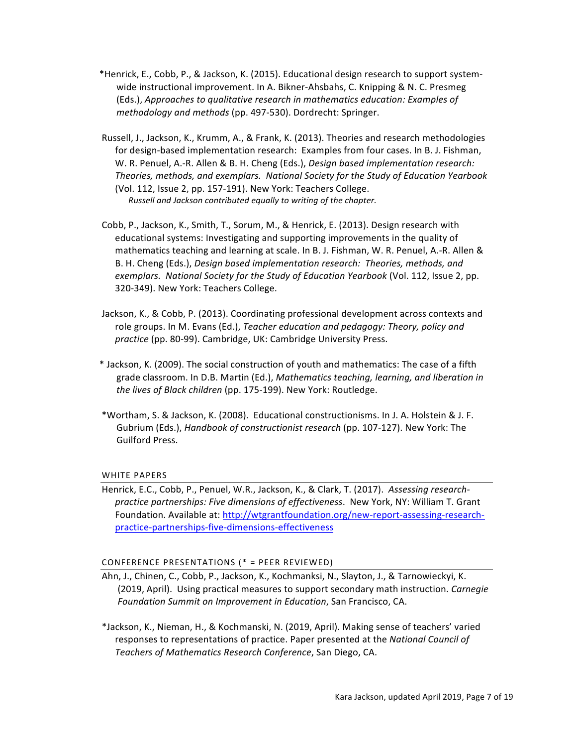- \*Henrick, E., Cobb, P., & Jackson, K. (2015). Educational design research to support systemwide instructional improvement. In A. Bikner-Ahsbahs, C. Knipping & N. C. Presmeg (Eds.), *Approaches to qualitative research in mathematics education: Examples of methodology and methods* (pp. 497-530). Dordrecht: Springer.
- Russell, J., Jackson, K., Krumm, A., & Frank, K. (2013). Theories and research methodologies for design-based implementation research: Examples from four cases. In B. J. Fishman, W. R. Penuel, A.-R. Allen & B. H. Cheng (Eds.), *Design based implementation research:* Theories, methods, and exemplars. National Society for the Study of Education Yearbook (Vol. 112, Issue 2, pp. 157-191). New York: Teachers College. *Russell and Jackson contributed equally to writing of the chapter.*
- Cobb, P., Jackson, K., Smith, T., Sorum, M., & Henrick, E. (2013). Design research with educational systems: Investigating and supporting improvements in the quality of mathematics teaching and learning at scale. In B. J. Fishman, W. R. Penuel, A.-R. Allen & B. H. Cheng (Eds.), *Design based implementation research:* Theories, methods, and *exemplars.* National Society for the Study of Education Yearbook (Vol. 112, Issue 2, pp. 320-349). New York: Teachers College.
- Jackson, K., & Cobb, P. (2013). Coordinating professional development across contexts and role groups. In M. Evans (Ed.), *Teacher education and pedagogy: Theory, policy and* practice (pp. 80-99). Cambridge, UK: Cambridge University Press.
- \* Jackson, K. (2009). The social construction of youth and mathematics: The case of a fifth grade classroom. In D.B. Martin (Ed.), Mathematics teaching, learning, and liberation in *the lives of Black children* (pp. 175-199). New York: Routledge.
- \*Wortham, S. & Jackson, K. (2008). Educational constructionisms. In J. A. Holstein & J. F. Gubrium (Eds.), *Handbook of constructionist research* (pp. 107-127). New York: The Guilford Press.

## WHITE PAPERS

Henrick, E.C., Cobb, P., Penuel, W.R., Jackson, K., & Clark, T. (2017). Assessing research*practice partnerships: Five dimensions of effectiveness.* New York, NY: William T. Grant Foundation. Available at: http://wtgrantfoundation.org/new-report-assessing-researchpractice-partnerships-five-dimensions-effectiveness

## CONFERENCE PRESENTATIONS (\* = PEER REVIEWED)

- Ahn, J., Chinen, C., Cobb, P., Jackson, K., Kochmanksi, N., Slayton, J., & Tarnowieckyi, K. (2019, April). Using practical measures to support secondary math instruction. *Carnegie* Foundation Summit on Improvement in Education, San Francisco, CA.
- \*Jackson, K., Nieman, H., & Kochmanski, N. (2019, April). Making sense of teachers' varied responses to representations of practice. Paper presented at the *National Council of Teachers of Mathematics Research Conference*, San Diego, CA.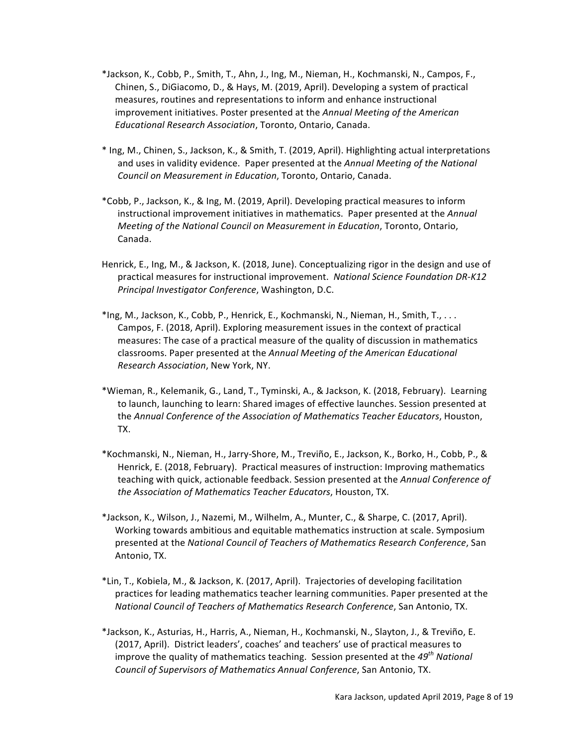- \*Jackson, K., Cobb, P., Smith, T., Ahn, J., Ing, M., Nieman, H., Kochmanski, N., Campos, F., Chinen, S., DiGiacomo, D., & Hays, M. (2019, April). Developing a system of practical measures, routines and representations to inform and enhance instructional improvement initiatives. Poster presented at the *Annual Meeting of the American Educational Research Association*, Toronto, Ontario, Canada.
- \* Ing, M., Chinen, S., Jackson, K., & Smith, T. (2019, April). Highlighting actual interpretations and uses in validity evidence. Paper presented at the *Annual Meeting of the National Council on Measurement in Education*, Toronto, Ontario, Canada.
- \*Cobb, P., Jackson, K., & Ing, M. (2019, April). Developing practical measures to inform instructional improvement initiatives in mathematics. Paper presented at the *Annual Meeting of the National Council on Measurement in Education*, Toronto, Ontario, Canada.
- Henrick, E., Ing, M., & Jackson, K. (2018, June). Conceptualizing rigor in the design and use of practical measures for instructional improvement. National Science Foundation DR-K12 *Principal Investigator Conference*, Washington, D.C.
- \*Ing, M., Jackson, K., Cobb, P., Henrick, E., Kochmanski, N., Nieman, H., Smith, T., ... Campos, F. (2018, April). Exploring measurement issues in the context of practical measures: The case of a practical measure of the quality of discussion in mathematics classrooms. Paper presented at the Annual Meeting of the American Educational *Research Association*, New York, NY.
- \*Wieman, R., Kelemanik, G., Land, T., Tyminski, A., & Jackson, K. (2018, February). Learning to launch, launching to learn: Shared images of effective launches. Session presented at the Annual Conference of the Association of Mathematics Teacher Educators, Houston, TX.
- \*Kochmanski, N., Nieman, H., Jarry-Shore, M., Treviño, E., Jackson, K., Borko, H., Cobb, P., & Henrick, E. (2018, February). Practical measures of instruction: Improving mathematics teaching with quick, actionable feedback. Session presented at the *Annual Conference of the Association of Mathematics Teacher Educators*, Houston, TX.
- \*Jackson, K., Wilson, J., Nazemi, M., Wilhelm, A., Munter, C., & Sharpe, C. (2017, April). Working towards ambitious and equitable mathematics instruction at scale. Symposium presented at the *National Council of Teachers of Mathematics Research Conference*, San Antonio, TX.
- \*Lin, T., Kobiela, M., & Jackson, K. (2017, April). Trajectories of developing facilitation practices for leading mathematics teacher learning communities. Paper presented at the *National Council of Teachers of Mathematics Research Conference, San Antonio, TX.*
- \*Jackson, K., Asturias, H., Harris, A., Nieman, H., Kochmanski, N., Slayton, J., & Treviño, E. (2017, April). District leaders', coaches' and teachers' use of practical measures to improve the quality of mathematics teaching. Session presented at the 49<sup>th</sup> National *Council of Supervisors of Mathematics Annual Conference*, San Antonio, TX.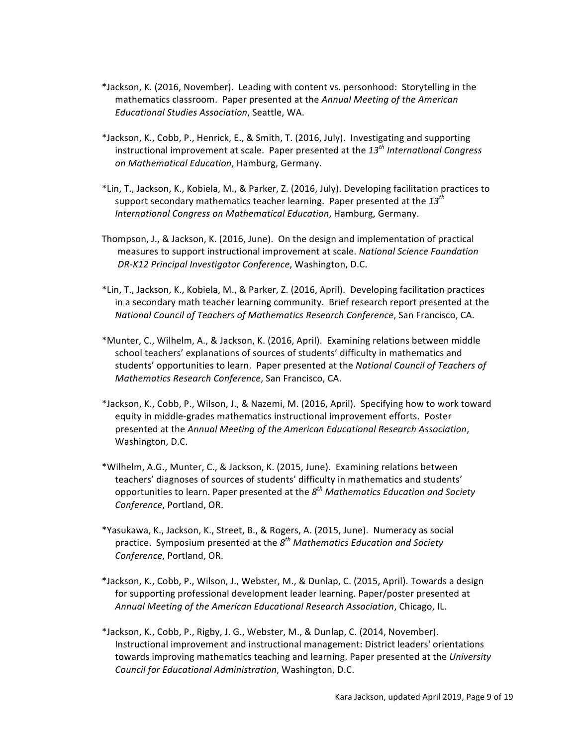- \*Jackson, K. (2016, November). Leading with content vs. personhood: Storytelling in the mathematics classroom. Paper presented at the *Annual Meeting of the American Educational Studies Association*, Seattle, WA.
- \*Jackson, K., Cobb, P., Henrick, E., & Smith, T. (2016, July). Investigating and supporting instructional improvement at scale. Paper presented at the 13<sup>th</sup> International Congress *on Mathematical Education*, Hamburg, Germany.
- \*Lin, T., Jackson, K., Kobiela, M., & Parker, Z. (2016, July). Developing facilitation practices to support secondary mathematics teacher learning. Paper presented at the 13<sup>th</sup> **International Congress on Mathematical Education, Hamburg, Germany.**
- Thompson, J., & Jackson, K. (2016, June). On the design and implementation of practical measures to support instructional improvement at scale. *National Science Foundation DR-K12 Principal Investigator Conference*, Washington, D.C.
- \*Lin, T., Jackson, K., Kobiela, M., & Parker, Z. (2016, April). Developing facilitation practices in a secondary math teacher learning community. Brief research report presented at the *National Council of Teachers of Mathematics Research Conference*, San Francisco, CA.
- \*Munter, C., Wilhelm, A., & Jackson, K. (2016, April). Examining relations between middle school teachers' explanations of sources of students' difficulty in mathematics and students' opportunities to learn. Paper presented at the *National Council of Teachers of Mathematics Research Conference*, San Francisco, CA.
- \*Jackson, K., Cobb, P., Wilson, J., & Nazemi, M. (2016, April). Specifying how to work toward equity in middle-grades mathematics instructional improvement efforts. Poster presented at the *Annual Meeting of the American Educational Research Association*, Washington, D.C.
- \*Wilhelm, A.G., Munter, C., & Jackson, K. (2015, June). Examining relations between teachers' diagnoses of sources of students' difficulty in mathematics and students' opportunities to learn. Paper presented at the  $8^{th}$  *Mathematics Education and Society Conference*, Portland, OR.
- \*Yasukawa, K., Jackson, K., Street, B., & Rogers, A. (2015, June). Numeracy as social practice. Symposium presented at the  $8^{th}$  *Mathematics Education and Society* Conference, Portland, OR.
- \*Jackson, K., Cobb, P., Wilson, J., Webster, M., & Dunlap, C. (2015, April). Towards a design for supporting professional development leader learning. Paper/poster presented at *Annual Meeting of the American Educational Research Association*, Chicago, IL.
- \*Jackson, K., Cobb, P., Rigby, J. G., Webster, M., & Dunlap, C. (2014, November). Instructional improvement and instructional management: District leaders' orientations towards improving mathematics teaching and learning. Paper presented at the *University Council for Educational Administration*, Washington, D.C.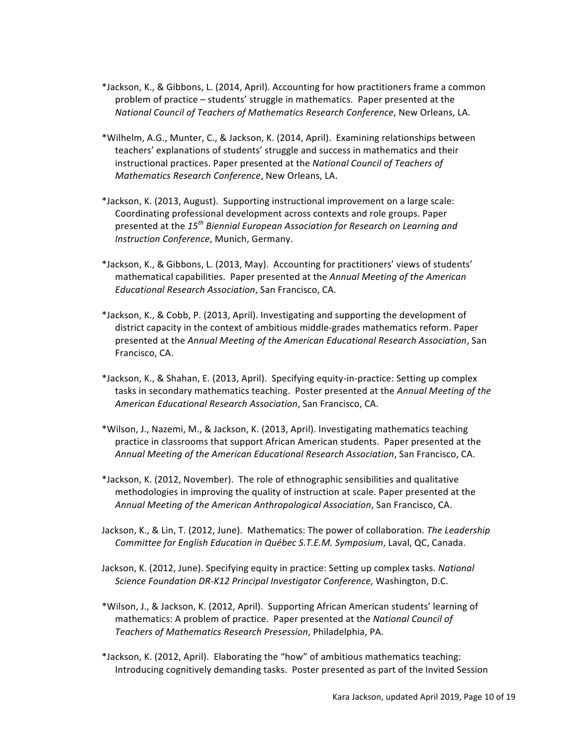- \*Jackson, K., & Gibbons, L. (2014, April). Accounting for how practitioners frame a common problem of practice – students' struggle in mathematics. Paper presented at the *National Council of Teachers of Mathematics Research Conference, New Orleans, LA.*
- \*Wilhelm, A.G., Munter, C., & Jackson, K. (2014, April). Examining relationships between teachers' explanations of students' struggle and success in mathematics and their instructional practices. Paper presented at the *National Council of Teachers of Mathematics Research Conference*, New Orleans, LA.
- \*Jackson, K. (2013, August). Supporting instructional improvement on a large scale: Coordinating professional development across contexts and role groups. Paper presented at the 15<sup>th</sup> Biennial European Association for Research on Learning and **Instruction Conference, Munich, Germany.**
- \*Jackson, K., & Gibbons, L. (2013, May). Accounting for practitioners' views of students' mathematical capabilities. Paper presented at the *Annual Meeting of the American Educational Research Association*, San Francisco, CA.
- \*Jackson, K., & Cobb, P. (2013, April). Investigating and supporting the development of district capacity in the context of ambitious middle-grades mathematics reform. Paper presented at the *Annual Meeting of the American Educational Research Association*, San Francisco, CA.
- \*Jackson, K., & Shahan, E. (2013, April). Specifying equity-in-practice: Setting up complex tasks in secondary mathematics teaching. Poster presented at the *Annual Meeting of the American Educational Research Association*, San Francisco, CA.
- \*Wilson, J., Nazemi, M., & Jackson, K. (2013, April). Investigating mathematics teaching practice in classrooms that support African American students. Paper presented at the *Annual Meeting of the American Educational Research Association*, San Francisco, CA.
- \*Jackson, K. (2012, November). The role of ethnographic sensibilities and qualitative methodologies in improving the quality of instruction at scale. Paper presented at the *Annual Meeting of the American Anthropological Association*, San Francisco, CA.
- Jackson, K., & Lin, T. (2012, June). Mathematics: The power of collaboration. The Leadership *Committee for English Education in Québec S.T.E.M. Symposium, Laval, QC, Canada.*
- Jackson, K. (2012, June). Specifying equity in practice: Setting up complex tasks. *National Science Foundation DR-K12 Principal Investigator Conference, Washington, D.C.*
- \*Wilson, J., & Jackson, K. (2012, April). Supporting African American students' learning of mathematics: A problem of practice. Paper presented at the *National Council of Teachers of Mathematics Research Presession*, Philadelphia, PA.
- \*Jackson, K. (2012, April). Elaborating the "how" of ambitious mathematics teaching: Introducing cognitively demanding tasks. Poster presented as part of the Invited Session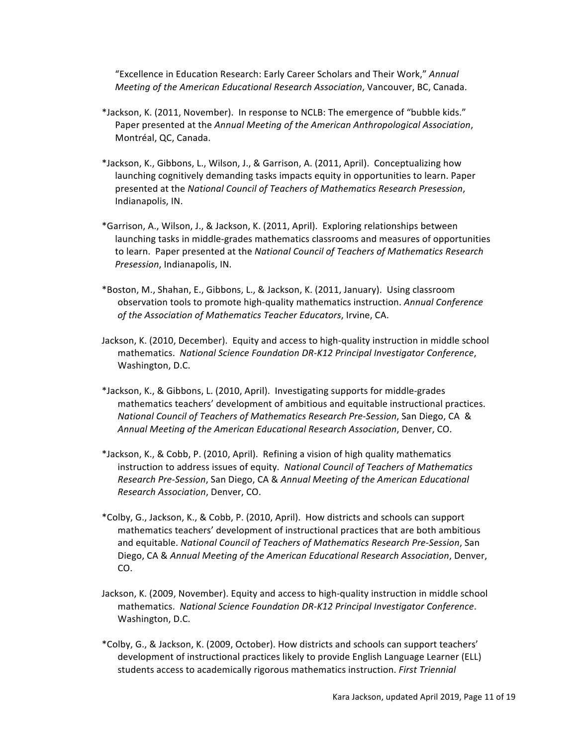"Excellence in Education Research: Early Career Scholars and Their Work," Annual *Meeting of the American Educational Research Association*, Vancouver, BC, Canada.

- \*Jackson, K. (2011, November). In response to NCLB: The emergence of "bubble kids." Paper presented at the Annual Meeting of the American Anthropological Association, Montréal, QC, Canada.
- \*Jackson, K., Gibbons, L., Wilson, J., & Garrison, A. (2011, April). Conceptualizing how launching cognitively demanding tasks impacts equity in opportunities to learn. Paper presented at the *National Council of Teachers of Mathematics Research Presession*, Indianapolis, IN.
- \*Garrison, A., Wilson, J., & Jackson, K. (2011, April). Exploring relationships between launching tasks in middle-grades mathematics classrooms and measures of opportunities to learn. Paper presented at the *National Council of Teachers of Mathematics Research Presession*, Indianapolis, IN.
- \*Boston, M., Shahan, E., Gibbons, L., & Jackson, K. (2011, January). Using classroom observation tools to promote high-quality mathematics instruction. *Annual Conference* of the Association of Mathematics Teacher Educators, Irvine, CA.
- Jackson, K. (2010, December). Equity and access to high-quality instruction in middle school mathematics. *National Science Foundation DR-K12 Principal Investigator Conference*, Washington, D.C.
- \*Jackson, K., & Gibbons, L. (2010, April). Investigating supports for middle-grades mathematics teachers' development of ambitious and equitable instructional practices. *National Council of Teachers of Mathematics Research Pre*-*Session*, San Diego, CA & *Annual Meeting of the American Educational Research Association*, Denver, CO.
- \*Jackson, K., & Cobb, P. (2010, April). Refining a vision of high quality mathematics instruction to address issues of equity. National Council of Teachers of Mathematics *Research Pre*-*Session*, San Diego, CA & *Annual Meeting of the American Educational Research Association*, Denver, CO.
- \*Colby, G., Jackson, K., & Cobb, P. (2010, April). How districts and schools can support mathematics teachers' development of instructional practices that are both ambitious and equitable. *National Council of Teachers of Mathematics Research Pre-Session*, San Diego, CA & Annual Meeting of the American Educational Research Association, Denver, CO.
- Jackson, K. (2009, November). Equity and access to high-quality instruction in middle school mathematics. *National Science Foundation DR-K12 Principal Investigator Conference*. Washington, D.C.
- \*Colby, G., & Jackson, K. (2009, October). How districts and schools can support teachers' development of instructional practices likely to provide English Language Learner (ELL) students access to academically rigorous mathematics instruction. *First Triennial*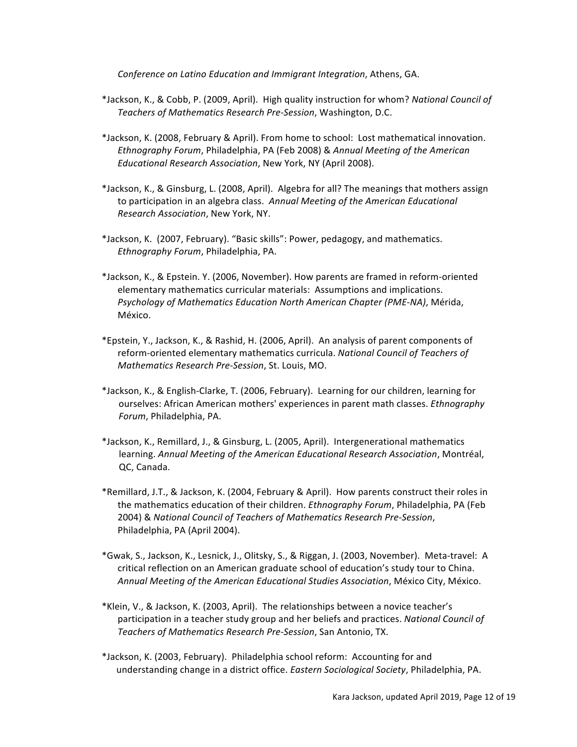*Conference on Latino Education and Immigrant Integration, Athens, GA.* 

- \*Jackson, K., & Cobb, P. (2009, April). High quality instruction for whom? National Council of *Teachers of Mathematics Research Pre-Session*, Washington, D.C.
- \*Jackson, K. (2008, February & April). From home to school: Lost mathematical innovation. *Ethnography Forum, Philadelphia, PA (Feb 2008) & Annual Meeting of the American Educational Research Association*, New York, NY (April 2008).
- \*Jackson, K., & Ginsburg, L. (2008, April). Algebra for all? The meanings that mothers assign to participation in an algebra class. Annual Meeting of the American Educational *Research Association*, New York, NY.
- \*Jackson, K. (2007, February). "Basic skills": Power, pedagogy, and mathematics. *Ethnography Forum*, Philadelphia, PA.
- \*Jackson, K., & Epstein. Y. (2006, November). How parents are framed in reform-oriented elementary mathematics curricular materials: Assumptions and implications. *Psychology of Mathematics Education North American Chapter (PME-NA)*, Mérida, México.
- \*Epstein, Y., Jackson, K., & Rashid, H. (2006, April). An analysis of parent components of reform-oriented elementary mathematics curricula. National Council of Teachers of *Mathematics Research Pre-Session*, St. Louis, MO.
- \*Jackson, K., & English-Clarke, T. (2006, February). Learning for our children, learning for ourselves: African American mothers' experiences in parent math classes. *Ethnography* Forum, Philadelphia, PA.
- \*Jackson, K., Remillard, J., & Ginsburg, L. (2005, April). Intergenerational mathematics learning. Annual Meeting of the American Educational Research Association, Montréal, QC, Canada.
- \*Remillard, J.T., & Jackson, K. (2004, February & April). How parents construct their roles in the mathematics education of their children. *Ethnography Forum*, Philadelphia, PA (Feb 2004) & *National Council of Teachers of Mathematics Research Pre-Session*, Philadelphia, PA (April 2004).
- \*Gwak, S., Jackson, K., Lesnick, J., Olitsky, S., & Riggan, J. (2003, November). Meta-travel: A critical reflection on an American graduate school of education's study tour to China. *Annual Meeting of the American Educational Studies Association*, México City, México.
- \*Klein, V., & Jackson, K. (2003, April). The relationships between a novice teacher's participation in a teacher study group and her beliefs and practices. *National Council of Teachers of Mathematics Research Pre-Session*, San Antonio, TX.
- \*Jackson, K. (2003, February). Philadelphia school reform: Accounting for and understanding change in a district office. *Eastern Sociological Society*, Philadelphia, PA.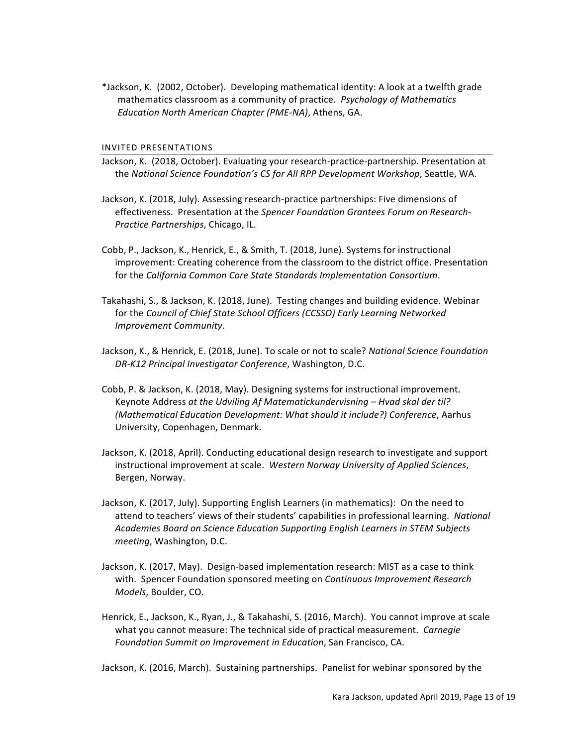\*Jackson, K. (2002, October). Developing mathematical identity: A look at a twelfth grade mathematics classroom as a community of practice. *Psychology of Mathematics Education North American Chapter (PME-NA)*, Athens, GA.

#### INVITED PRESENTATIONS

- Jackson, K. (2018, October). Evaluating your research-practice-partnership. Presentation at the *National Science Foundation's CS for All RPP Development Workshop*, Seattle, WA.
- Jackson, K. (2018, July). Assessing research-practice partnerships: Five dimensions of effectiveness. Presentation at the *Spencer Foundation Grantees Forum on Research*-*Practice Partnerships*, Chicago, IL.
- Cobb, P., Jackson, K., Henrick, E., & Smith, T. (2018, June). Systems for instructional improvement: Creating coherence from the classroom to the district office. Presentation for the California Common Core State Standards Implementation Consortium.
- Takahashi, S., & Jackson, K. (2018, June). Testing changes and building evidence. Webinar for the *Council of Chief State School Officers (CCSSO) Early Learning Networked Improvement Community*.
- Jackson, K., & Henrick, E. (2018, June). To scale or not to scale? National Science Foundation *DR-K12 Principal Investigator Conference*, Washington, D.C.
- Cobb, P. & Jackson, K. (2018, May). Designing systems for instructional improvement. Keynote Address at the Udviling Af Matematickundervisning – Hvad skal der til? *(Mathematical Education Development: What should it include?) Conference*, Aarhus University, Copenhagen, Denmark.
- Jackson, K. (2018, April). Conducting educational design research to investigate and support instructional improvement at scale. Western Norway University of Applied Sciences, Bergen, Norway.
- Jackson, K. (2017, July). Supporting English Learners (in mathematics): On the need to attend to teachers' views of their students' capabilities in professional learning. National Academies Board on Science Education Supporting English Learners in STEM Subjects *meeting*, Washington, D.C.
- Jackson, K. (2017, May). Design-based implementation research: MIST as a case to think with. Spencer Foundation sponsored meeting on *Continuous Improvement Research Models*, Boulder, CO.
- Henrick, E., Jackson, K., Ryan, J., & Takahashi, S. (2016, March). You cannot improve at scale what you cannot measure: The technical side of practical measurement. *Carnegie Foundation Summit on Improvement in Education*, San Francisco, CA.

Jackson, K. (2016, March). Sustaining partnerships. Panelist for webinar sponsored by the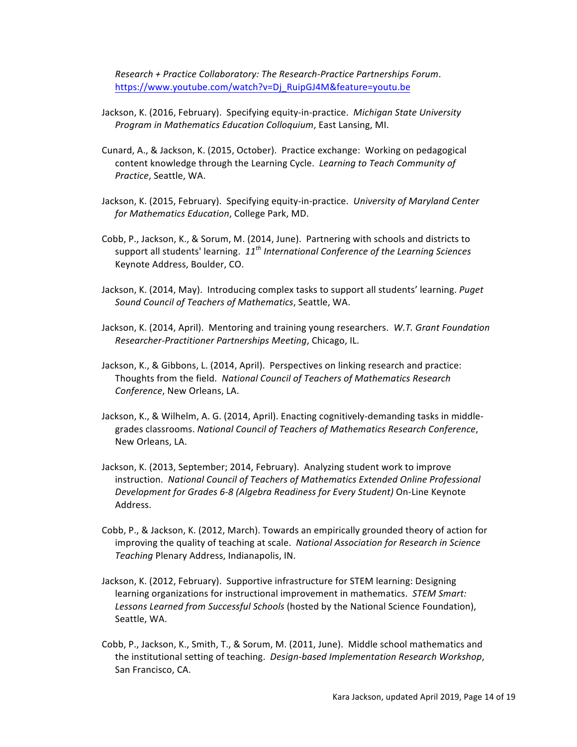*Research + Practice Collaboratory: The Research-Practice Partnerships Forum*. https://www.youtube.com/watch?v=Dj\_RuipGJ4M&feature=youtu.be

- Jackson, K. (2016, February). Specifying equity-in-practice. *Michigan State University Program in Mathematics Education Colloquium*, East Lansing, MI.
- Cunard, A., & Jackson, K. (2015, October). Practice exchange: Working on pedagogical content knowledge through the Learning Cycle. *Learning to Teach Community of* Practice, Seattle, WA.
- Jackson, K. (2015, February). Specifying equity-in-practice. University of Maryland Center *for Mathematics Education*, College Park, MD.
- Cobb, P., Jackson, K., & Sorum, M. (2014, June). Partnering with schools and districts to support all students' learning.  $11^{th}$  *International Conference of the Learning Sciences* Keynote Address, Boulder, CO.
- Jackson, K. (2014, May). Introducing complex tasks to support all students' learning. *Puget Sound Council of Teachers of Mathematics*, Seattle, WA.
- Jackson, K. (2014, April). Mentoring and training young researchers. W.T. Grant Foundation *Researcher-Practitioner Partnerships Meeting*, Chicago, IL.
- Jackson, K., & Gibbons, L. (2014, April). Perspectives on linking research and practice: Thoughts from the field. National Council of Teachers of Mathematics Research *Conference, New Orleans, LA.*
- Jackson, K., & Wilhelm, A. G. (2014, April). Enacting cognitively-demanding tasks in middlegrades classrooms. National Council of Teachers of Mathematics Research Conference, New Orleans, LA.
- Jackson, K. (2013, September; 2014, February). Analyzing student work to improve instruction. National Council of Teachers of Mathematics Extended Online Professional *Development for Grades 6-8 (Algebra Readiness for Every Student)* On-Line Keynote Address.
- Cobb, P., & Jackson, K. (2012, March). Towards an empirically grounded theory of action for improving the quality of teaching at scale. National Association for Research in Science **Teaching Plenary Address, Indianapolis, IN.**
- Jackson, K. (2012, February). Supportive infrastructure for STEM learning: Designing learning organizations for instructional improvement in mathematics. *STEM Smart:* Lessons Learned from Successful Schools (hosted by the National Science Foundation), Seattle, WA.
- Cobb, P., Jackson, K., Smith, T., & Sorum, M. (2011, June). Middle school mathematics and the institutional setting of teaching. *Design-based Implementation Research Workshop*, San Francisco, CA.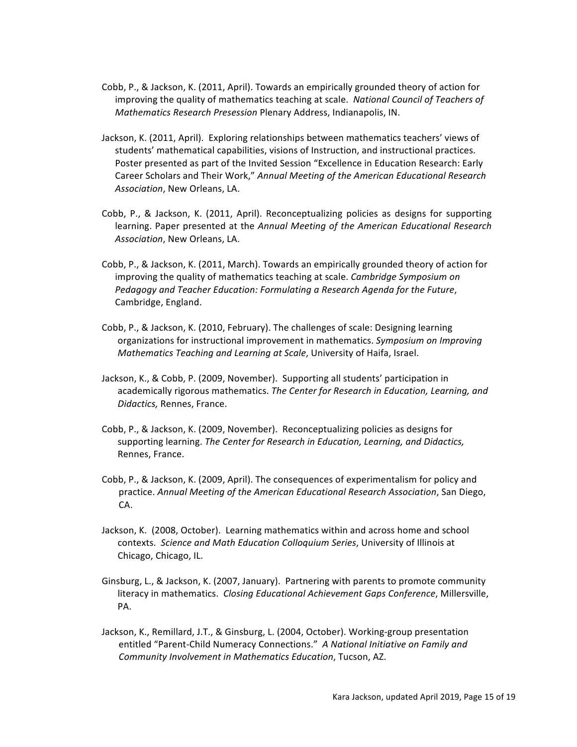- Cobb, P., & Jackson, K. (2011, April). Towards an empirically grounded theory of action for improving the quality of mathematics teaching at scale. National Council of Teachers of *Mathematics Research Presession Plenary Address, Indianapolis, IN.*
- Jackson, K. (2011, April). Exploring relationships between mathematics teachers' views of students' mathematical capabilities, visions of Instruction, and instructional practices. Poster presented as part of the Invited Session "Excellence in Education Research: Early Career Scholars and Their Work," Annual Meeting of the American Educational Research Association, New Orleans, LA.
- Cobb, P., & Jackson, K. (2011, April). Reconceptualizing policies as designs for supporting learning. Paper presented at the Annual Meeting of the American Educational Research Association, New Orleans, LA.
- Cobb, P., & Jackson, K. (2011, March). Towards an empirically grounded theory of action for improving the quality of mathematics teaching at scale. *Cambridge Symposium on* Pedagogy and Teacher Education: Formulating a Research Agenda for the Future, Cambridge, England.
- Cobb, P., & Jackson, K. (2010, February). The challenges of scale: Designing learning organizations for instructional improvement in mathematics. *Symposium on Improving Mathematics Teaching and Learning at Scale*, University of Haifa, Israel.
- Jackson, K., & Cobb, P. (2009, November). Supporting all students' participation in academically rigorous mathematics. The Center for Research in Education, Learning, and *Didactics,* Rennes, France.
- Cobb, P., & Jackson, K. (2009, November). Reconceptualizing policies as designs for supporting learning. The Center for Research in Education, Learning, and Didactics, Rennes, France.
- Cobb, P., & Jackson, K. (2009, April). The consequences of experimentalism for policy and practice. *Annual Meeting of the American Educational Research Association*, San Diego, CA.
- Jackson, K. (2008, October). Learning mathematics within and across home and school contexts. *Science and Math Education Colloquium Series*, University of Illinois at Chicago, Chicago, IL.
- Ginsburg, L., & Jackson, K. (2007, January). Partnering with parents to promote community literacy in mathematics. Closing Educational Achievement Gaps Conference, Millersville, PA.
- Jackson, K., Remillard, J.T., & Ginsburg, L. (2004, October). Working-group presentation entitled "Parent-Child Numeracy Connections." A National Initiative on Family and *Community Involvement in Mathematics Education*, Tucson, AZ.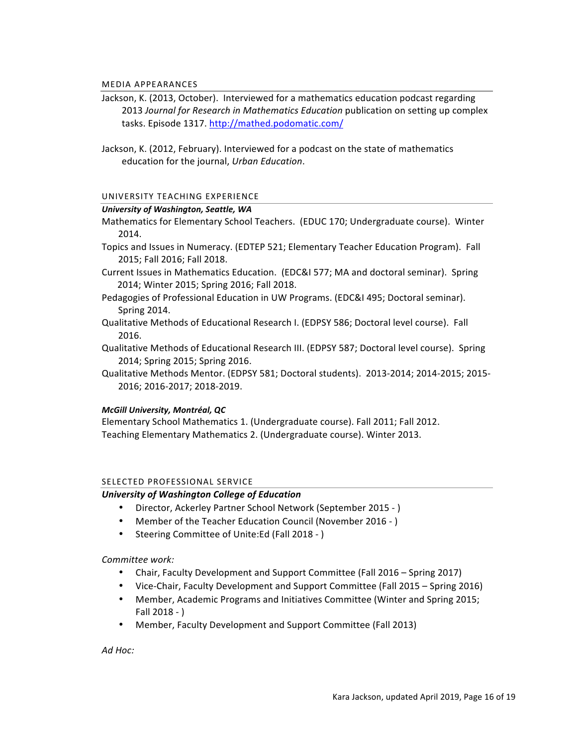#### MEDIA APPEARANCES

- Jackson, K. (2013, October). Interviewed for a mathematics education podcast regarding 2013 *Journal for Research in Mathematics Education* publication on setting up complex tasks. Episode 1317. http://mathed.podomatic.com/
- Jackson, K. (2012, February). Interviewed for a podcast on the state of mathematics education for the journal, Urban Education.

## UNIVERSITY TEACHING EXPERIENCE

#### *University of Washington, Seattle, WA*

Mathematics for Elementary School Teachers. (EDUC 170; Undergraduate course). Winter 2014.

- Topics and Issues in Numeracy. (EDTEP 521; Elementary Teacher Education Program). Fall 2015; Fall 2016; Fall 2018.
- Current Issues in Mathematics Education. (EDC&I 577; MA and doctoral seminar). Spring 2014; Winter 2015; Spring 2016; Fall 2018.
- Pedagogies of Professional Education in UW Programs. (EDC&I 495; Doctoral seminar). Spring 2014.
- Qualitative Methods of Educational Research I. (EDPSY 586; Doctoral level course). Fall 2016.
- Qualitative Methods of Educational Research III. (EDPSY 587; Doctoral level course). Spring 2014; Spring 2015; Spring 2016.
- Qualitative Methods Mentor. (EDPSY 581; Doctoral students). 2013-2014; 2014-2015; 2015-2016; 2016-2017; 2018-2019.

## *McGill University, Montréal, QC*

Elementary School Mathematics 1. (Undergraduate course). Fall 2011; Fall 2012. Teaching Elementary Mathematics 2. (Undergraduate course). Winter 2013.

## SELECTED PROFESSIONAL SERVICE

## *University of Washington College of Education*

- Director, Ackerley Partner School Network (September 2015 )
- Member of the Teacher Education Council (November 2016 )
- Steering Committee of Unite:Ed (Fall 2018 )

*Committee work:*

- Chair, Faculty Development and Support Committee (Fall 2016 Spring 2017)
- Vice-Chair, Faculty Development and Support Committee (Fall 2015 Spring 2016)
- Member, Academic Programs and Initiatives Committee (Winter and Spring 2015; Fall  $2018 - )$
- Member, Faculty Development and Support Committee (Fall 2013)

*Ad Hoc:*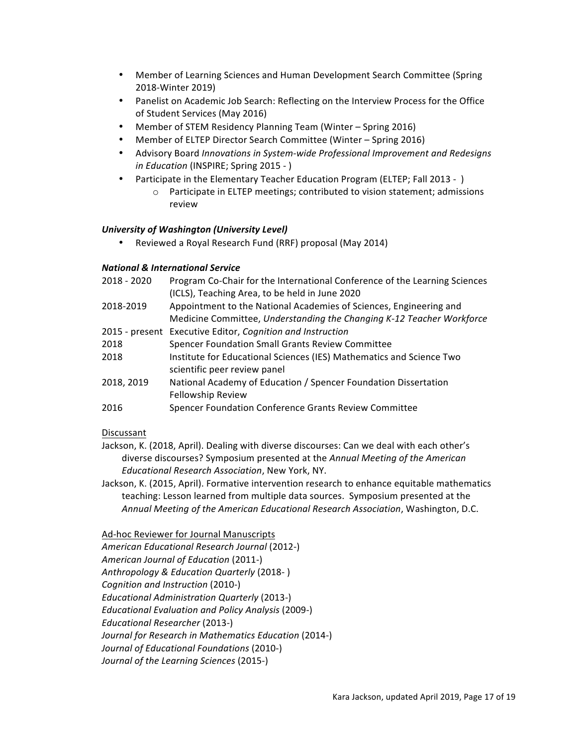- Member of Learning Sciences and Human Development Search Committee (Spring 2018-Winter 2019)
- Panelist on Academic Job Search: Reflecting on the Interview Process for the Office of Student Services (May 2016)
- Member of STEM Residency Planning Team (Winter Spring 2016)
- Member of ELTEP Director Search Committee (Winter Spring 2016)
- Advisory Board *Innovations in System-wide Professional Improvement and Redesigns in Education* (INSPIRE; Spring 2015 - )
- Participate in the Elementary Teacher Education Program (ELTEP; Fall 2013 -)
	- $\circ$  Participate in ELTEP meetings; contributed to vision statement; admissions review

# *University of Washington (University Level)*

• Reviewed a Royal Research Fund (RRF) proposal (May 2014)

## *National & International Service*

| 2018 - 2020    | Program Co-Chair for the International Conference of the Learning Sciences |
|----------------|----------------------------------------------------------------------------|
|                | (ICLS), Teaching Area, to be held in June 2020                             |
| 2018-2019      | Appointment to the National Academies of Sciences, Engineering and         |
|                | Medicine Committee, Understanding the Changing K-12 Teacher Workforce      |
| 2015 - present | Executive Editor, Cognition and Instruction                                |
| 2018           | Spencer Foundation Small Grants Review Committee                           |
| 2018           | Institute for Educational Sciences (IES) Mathematics and Science Two       |
|                | scientific peer review panel                                               |
| 2018, 2019     | National Academy of Education / Spencer Foundation Dissertation            |
|                | Fellowship Review                                                          |
| 2016           | Spencer Foundation Conference Grants Review Committee                      |

# Discussant

- Jackson, K. (2018, April). Dealing with diverse discourses: Can we deal with each other's diverse discourses? Symposium presented at the *Annual Meeting of the American Educational Research Association*, New York, NY.
- Jackson, K. (2015, April). Formative intervention research to enhance equitable mathematics teaching: Lesson learned from multiple data sources. Symposium presented at the *Annual Meeting of the American Educational Research Association*, Washington, D.C.

# Ad-hoc Reviewer for Journal Manuscripts

*American Educational Research Journal* (2012-) *American Journal of Education* (2011-) *Anthropology & Education Quarterly* (2018- ) *Cognition and Instruction* (2010-) *Educational Administration Quarterly* (2013-) *Educational Evaluation and Policy Analysis* (2009-) *Educational Researcher* (2013-) Journal for Research in Mathematics Education (2014-) *Journal of Educational Foundations* (2010-) Journal of the Learning Sciences (2015-)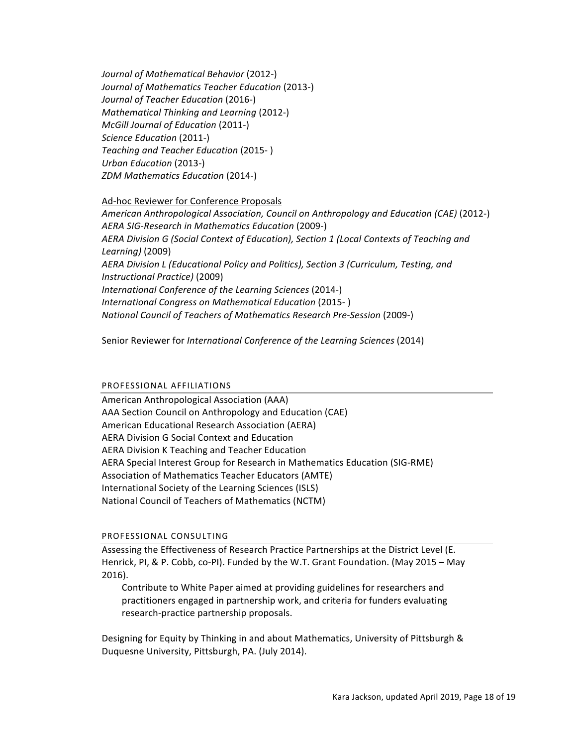*Journal of Mathematical Behavior* (2012-) *Journal of Mathematics Teacher Education* (2013-) *Journal of Teacher Education* (2016-) *Mathematical Thinking and Learning* (2012-) *McGill Journal of Education* (2011-) *Science Education* (2011-) *Teaching and Teacher Education* (2015- ) *Urban Education* (2013-) *ZDM Mathematics Education* (2014-)

## Ad-hoc Reviewer for Conference Proposals

*American Anthropological Association, Council on Anthropology and Education (CAE)* (2012-) *AERA SIG-Research in Mathematics Education* (2009-) *AERA Division G (Social Context of Education), Section 1 (Local Contexts of Teaching and Learning)* (2009) AERA Division L (Educational Policy and Politics), Section 3 (Curriculum, Testing, and *Instructional Practice)* (2009) *International Conference of the Learning Sciences* (2014-) *International Congress on Mathematical Education* (2015- ) *National Council of Teachers of Mathematics Research Pre-Session* (2009-)

Senior Reviewer for *International Conference of the Learning Sciences* (2014)

## PROFESSIONAL AFFILIATIONS

American Anthropological Association (AAA) AAA Section Council on Anthropology and Education (CAE) American Educational Research Association (AERA) AERA Division G Social Context and Education AERA Division K Teaching and Teacher Education AERA Special Interest Group for Research in Mathematics Education (SIG-RME) Association of Mathematics Teacher Educators (AMTE) International Society of the Learning Sciences (ISLS) National Council of Teachers of Mathematics (NCTM)

## PROFESSIONAL CONSULTING

Assessing the Effectiveness of Research Practice Partnerships at the District Level (E. Henrick, PI, & P. Cobb, co-PI). Funded by the W.T. Grant Foundation. (May 2015 – May 2016).

Contribute to White Paper aimed at providing guidelines for researchers and practitioners engaged in partnership work, and criteria for funders evaluating research-practice partnership proposals.

Designing for Equity by Thinking in and about Mathematics, University of Pittsburgh & Duquesne University, Pittsburgh, PA. (July 2014).